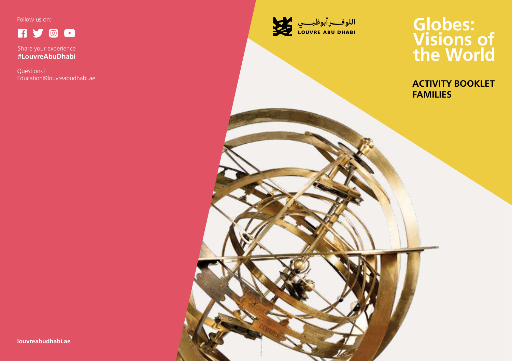Follow us on:

# **HYOD**

Share your experience **#LouvreAbuDhabi**

Questions? Education@louvreabudhabi.ae



**Globes: Visions of the World**

**ACTIVITY BOOKLET FAMILIES**

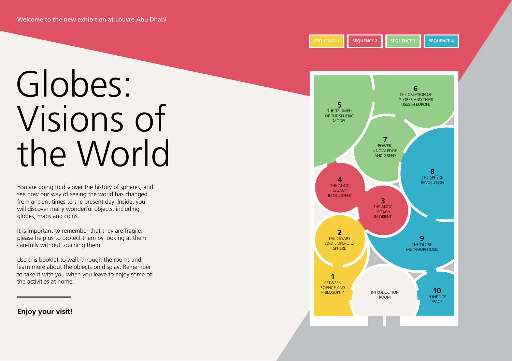# Globes: Visions of the World

You are going to discover the history of spheres, and see how our way of seeing the world has changed from ancient times to the present day. Inside, you will discover many wonderful objects, including globes, maps and coins.

It is important to remember that they are fragile: please help us to protect them by looking at them carefully without touching them.

Use this booklet to walk through the rooms and learn more about the objects on display. Remember to take it with you when you leave to enjoy some of the activities at home.

**Enjoy your visit!**



**SEQUENCE 1 SEQUENCE 2 SEQUENCE 3 SEQUENCE 4**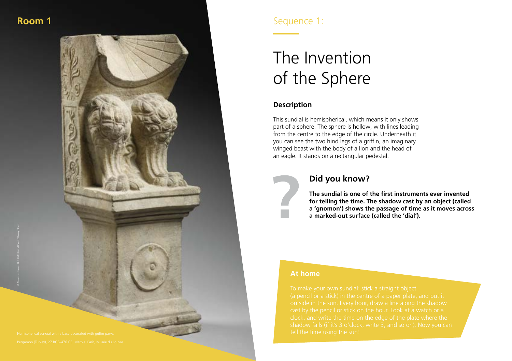# **Room**



# **1** Sequence 1:

# The Invention of the Sphere

#### **Description**

This sundial is hemispherical, which means it only shows part of a sphere. The sphere is hollow, with lines leading from the centre to the edge of the circle. Underneath it you can see the two hind legs of a griffin, an imaginary winged beast with the body of a lion and the head of an eagle. It stands on a rectangular pedestal.

#### **Did you know?**

**The sundial is one of the first instruments ever invented for telling the time. The shadow cast by an object (called a 'gnomon') shows the passage of time as it moves across a marked-out surface (called the 'dial').** 

#### **At home**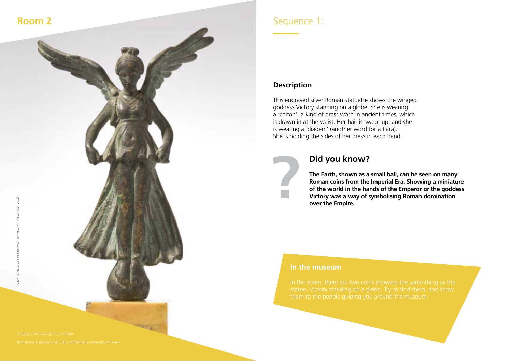

# Sequence 1:

**Description**

This engraved silver Roman statuette shows the winged goddess Victory standing on a globe. She is wearing a 'chiton', a kind of dress worn in ancient times, which is drawn in at the waist. Her hair is swept up, and she is wearing a 'diadem' (another word for a tiara). She is holding the sides of her dress in each hand.



#### **Did you know?**

**The Earth, shown as a small ball, can be seen on many Roman coins from the Imperial Era. Showing a miniature of the world in the hands of the Emperor or the goddess Victory was a way of symbolising Roman domination over the Empire.** 

#### **In the museum**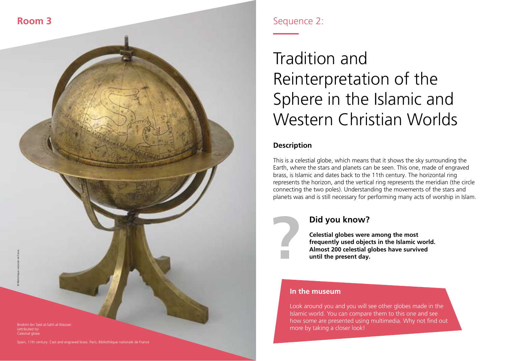

Sequence 2:

# Tradition and Reinterpretation of the Sphere in the Islamic and Western Christian Worlds

#### **Description**

This is a celestial globe, which means that it shows the sky surrounding the Earth, where the stars and planets can be seen. This one, made of engraved brass, is Islamic and dates back to the 11th century. The horizontal ring represents the horizon, and the vertical ring represents the meridian (the circle connecting the two poles). Understanding the movements of the stars and planets was and is still necessary for performing many acts of worship in Islam.

## **Did you know?**

**Celestial globes were among the most frequently used objects in the Islamic world. Almost 200 celestial globes have survived until the present day.**

#### **In the museum**

Look around you and you will see other globes made in the Islamic world. You can compare them to this one and see how some are presented using multimedia. Why not find out more by taking a closer look!

(attributed to) Celestial globe

Spain, 11th century. Cast and engraved brass. Paris, Bibliothèque nationale de France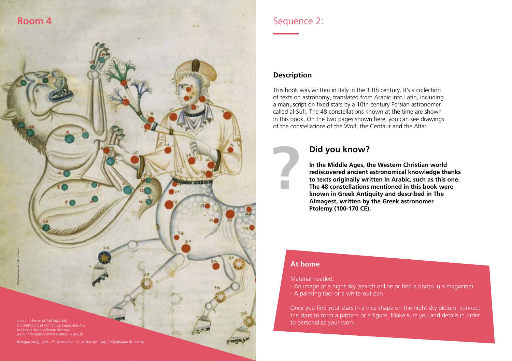

## Sequence 2:

**Description**

This book was written in Italy in the 13th century. It's a collection of texts on astronomy, translated from Arabic into Latin, including a manuscript on fixed stars by a 10th century Persian astronomer called al-Sufi. The 48 constellations known at the time are shown in this book. On the two pages shown here, you can see drawings of the constellations of the Wolf, the Centaur and the Altar.

### **Did you know?**

**In the Middle Ages, the Western Christian world rediscovered ancient astronomical knowledge thanks to texts originally written in Arabic, such as this one. The 48 constellations mentioned in this book were known in Greek Antiquity and described in The Almagest, written by the Greek astronomer Ptolemy (100-170 CE).** 

#### **At home**

Material needed:

- An image of a night sky (search online or find a photo in a magazine)
- A painting tool or a white-out pen

Once you find your stars in a nice shape on the night sky picture, connect the stars to form a pattern or a figure. Make sure you add details in order to personalize your work.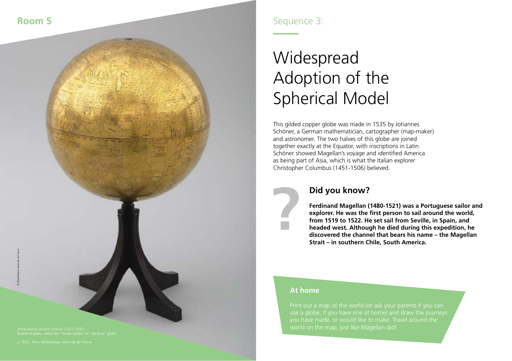

# Widespread Adoption of the Spherical Model

This gilded copper globe was made in 1535 by Johannes Schöner, a German mathematician, cartographer (map-maker) and astronomer. The two halves of this globe are joined together exactly at the Equator, with inscriptions in Latin. Schöner showed Magellan's voyage and identified America as being part of Asia, which is what the Italian explorer Christopher Columbus (1451-1506) believed.

#### **Did you know?**

**Ferdinand Magellan (1480-1521) was a Portuguese sailor and explorer. He was the first person to sail around the world, from 1519 to 1522. He set sail from Seville, in Spain, and headed west. Although he died during this expedition, he discovered the channel that bears his name – the Magellan Strait – in southern Chile, South America.** 

#### **At home**

Print out a map of the world (or ask your parents if you can use a globe, if you have one at home) and draw the journeys you have made, or would like to make. Travel around the world on the map, just like Magellan did!

Terrestrial globe, called the "Golden globe" or "De Bure" globe.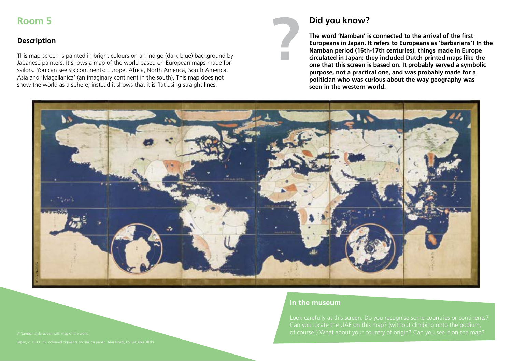# **Room 5**

#### **Description**

This map-screen is painted in bright colours on an indigo (dark blue) background by Japanese painters. It shows a map of the world based on European maps made for sailors. You can see six continents: Europe, Africa, North America, South America, Asia and 'Magellanica' (an imaginary continent in the south). This map does not show the world as a sphere; instead it shows that it is flat using straight lines.

### **Did you know?**

**The word 'Namban' is connected to the arrival of the first Europeans in Japan. It refers to Europeans as 'barbarians'! In the Namban period (16th-17th centuries), things made in Europe circulated in Japan; they included Dutch printed maps like the one that this screen is based on. It probably served a symbolic purpose, not a practical one, and was probably made for a politician who was curious about the way geography was seen in the western world.** 



#### **In the museum**

Look carefully at this screen. Do you recognise some countries or continents? Can you locate the UAE on this map? (without climbing onto the podium, of course!) What about your country of origin? Can you see it on the map?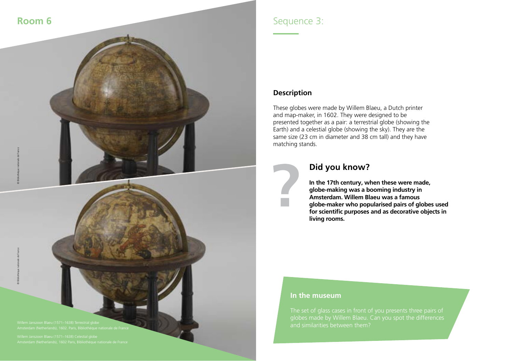

### Sequence 3:

#### **Description**

These globes were made by Willem Blaeu, a Dutch printer and map-maker, in 1602. They were designed to be presented together as a pair: a terrestrial globe (showing the Earth) and a celestial globe (showing the sky). They are the same size (23 cm in diameter and 38 cm tall) and they have matching stands.



#### **Did you know?**

**In the 17th century, when these were made, globe-making was a booming industry in Amsterdam. Willem Blaeu was a famous globe-maker who popularised pairs of globes used for scientific purposes and as decorative objects in living rooms.**

#### **In the museum**

globes made by Willem Blaeu. Can you spot the differences and similarities between them?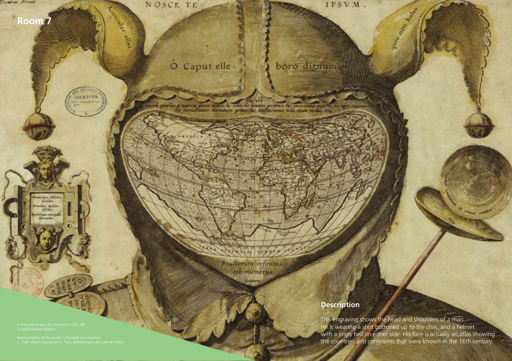

the countries and continents that were known in the 16th century.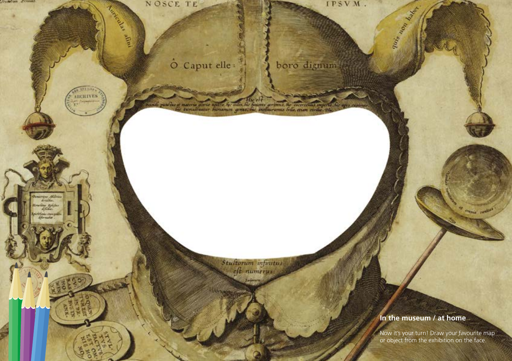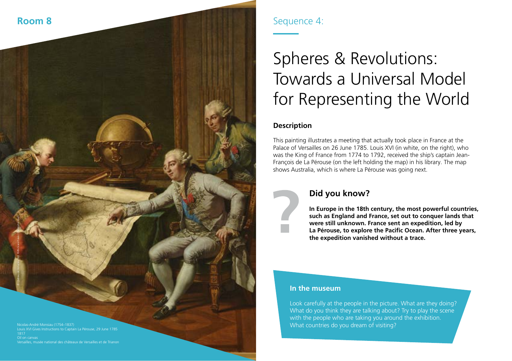

# Sequence 4:

# Spheres & Revolutions: Towards a Universal Model for Representing the World

#### **Description**

This painting illustrates a meeting that actually took place in France at the Palace of Versailles on 26 June 1785. Louis XVI (in white, on the right), who was the King of France from 1774 to 1792, received the ship's captain Jean-François de La Pérouse (on the left holding the map) in his library. The map shows Australia, which is where La Pérouse was going next.

### **Did you know?**

**In Europe in the 18th century, the most powerful countries, such as England and France, set out to conquer lands that were still unknown. France sent an expedition, led by La Pérouse, to explore the Pacific Ocean. After three years, the expedition vanished without a trace.** 

#### **In the museum**

Look carefully at the people in the picture. What are they doing? What do you think they are talking about? Try to play the scene with the people who are taking you around the exhibition. What countries do you dream of visiting?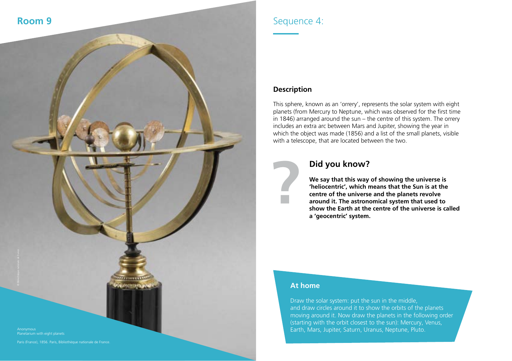

# Sequence 4:

**Description**

This sphere, known as an 'orrery', represents the solar system with eight planets (from Mercury to Neptune, which was observed for the first time in 1846) arranged around the sun – the centre of this system. The orrery includes an extra arc between Mars and Jupiter, showing the year in which the object was made (1856) and a list of the small planets, visible with a telescope, that are located between the two.



#### **Did you know?**

**We say that this way of showing the universe is 'heliocentric', which means that the Sun is at the centre of the universe and the planets revolve around it. The astronomical system that used to show the Earth at the centre of the universe is called a 'geocentric' system.** 

#### **At home**

Draw the solar system: put the sun in the middle, and draw circles around it to show the orbits of the planets moving around it. Now draw the planets in the following order (starting with the orbit closest to the sun): Mercury, Venus, Earth, Mars, Jupiter, Saturn, Uranus, Neptune, Pluto.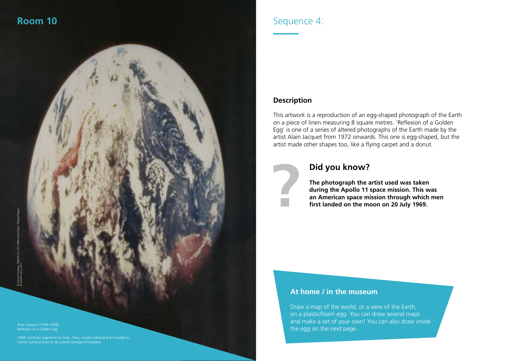

# Sequence 4:

#### **Description**

This artwork is a reproduction of an egg-shaped photograph of the Earth on a piece of linen measuring 8 square metres. 'Reflexion of a Golden Egg' is one of a series of altered photographs of the Earth made by the artist Alain Jacquet from 1972 onwards. This one is egg-shaped, but the artist made other shapes too, like a flying carpet and a donut.



#### **Did you know?**

**The photograph the artist used was taken during the Apollo 11 space mission. This was an American space mission through which men first landed on the moon on 20 July 1969.**

#### **At home / in the museum**

Draw a map of the world, or a view of the Earth, on a plastic/foam egg. You can draw several maps and make a set of your own! You can also draw inside the egg on the next page.

1988. Synthetic pigments on linen. Paris, musée national d›Art moderne,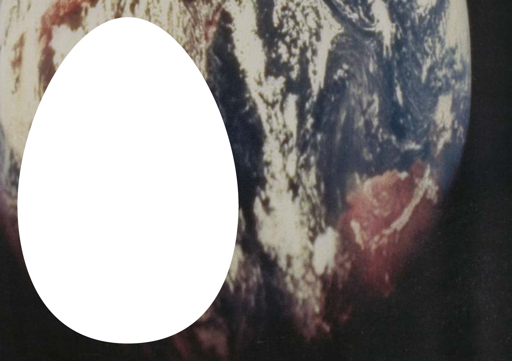